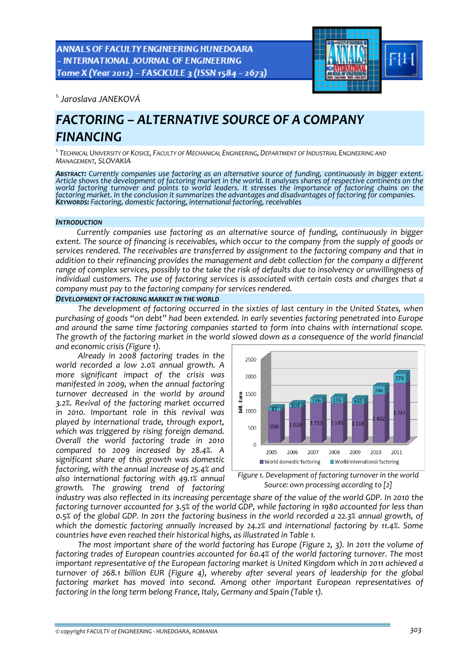**ANNALS OF FACULTY ENGINEERING HUNEDOARA** - INTERNATIONAL JOURNAL OF ENGINEERING Tome X (Year 2012) - FASCICULE 3 (ISSN 1584 - 2673)



*1.Jaroslava JANEKOVÁ* 

# *FACTORING – ALTERNATIVE SOURCE OF A COMPANY FINANCING*

*1.TECHNICAL UNIVERSITY OF KOSICE, FACULTY OF MECHANICAL ENGINEERING, DEPARTMENT OF INDUSTRIAL ENGINEERING AND MANAGEMENT, SLOVAKIA*

*ABSTRACT: Currently companies use factoring as an alternative source of funding, continuously in bigger extent.* Article shows the development of factoring market in the world. It analyses shares of respective continents on the world factoring turnover and points to world leaders. It stresses the importance of factoring chains on the factoring market. In the conclusion it summarizes the advantages and disadvantages of factoring for companies.<br>Keywords: Factoring, domestic factoring, international factoring, receivables

### *INTRODUCTION*

*Currently companies use factoring as an alternative source of funding, continuously in bigger* extent. The source of financing is receivables, which occur to the company from the supply of goods or *services rendered. The receivables are transferred by assignment to the factoring company and that in addition to their refinancing provides the management and debt collection for the company a different* range of complex services, possibly to the take the risk of defaults due to insolvency or unwillingness of *individual customers. The use of factoring services is associated with certain costs and charges that a company must pay to the factoring company for services rendered.*

## *DEVELOPMENT OF FACTORING MARKET IN THE WORLD*

*The development of factoring occurred in the sixties of last century in the United States, when purchasing of goods "on debt" had been extended. In early seventies factoring penetrated into Europe and around the same time factoring companies started to form into chains with international scope.* The growth of the factoring market in the world slowed down as a consequence of the world financial *and economic crisis (Figure 1).* 

*Already in 2008 factoring trades in the world recorded a low 2.0% annual growth. A more significant impact of the crisis was manifested in 2009, when the annual factoring turnover decreased in the world by around 3.2%. Revival of the factoring market occurred in 2010. Important role in this revival was played by international trade, through export, which was triggered by rising foreign demand. Overall the world factoring trade in 2010 compared to 2009 increased by 28.4%. A significant share of this growth was domestic factoring, with the annual increase of 25.4% and also international factoring with 49.1% annual growth. The growing trend of factoring*



*Figure 1. Development of factoring turnover in the world Source: own processing according to [2]*

industry was also reflected in its increasing percentage share of the value of the world GDP. In 2010 the *factoring turnover accounted for 3.5% of the world GDP, while factoring in 1980 accounted for less than* 0.5% of the global GDP. In 2011 the factoring business in the world recorded a 22.3% annual growth, of *which the domestic factoring annually increased by 24.2% and international factoring by 11.4%. Some countries have even reached their historical highs, as illustrated in Table 1.*

*The most important share of the world factoring has Europe (Figure 2, 3). In 2011 the volume of factoring trades of European countries accounted for 60.4% of the world factoring turnover. The most important representative of the European factoring market is United Kingdom which in 2011 achieved a turnover of 268.1 billion EUR (Figure 4), whereby after several years of leadership for the global factoring market has moved into second. Among other important European representatives of factoring in the long term belong France, Italy, Germany and Spain (Table 1).*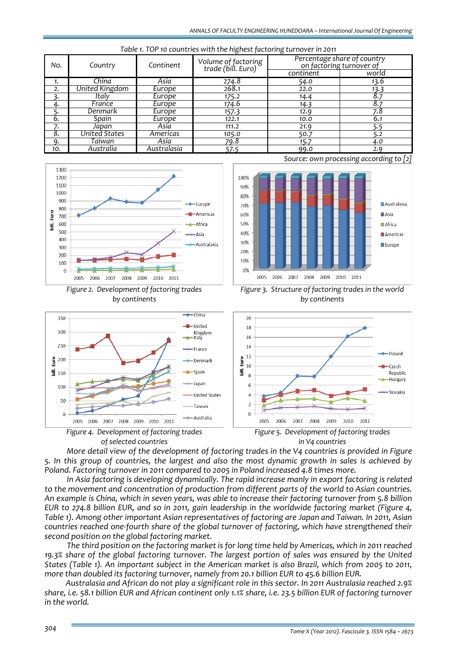| rable is for to countries with the highest factoring tarriorer in zoni |                |             |                                           |                                                         |       |
|------------------------------------------------------------------------|----------------|-------------|-------------------------------------------|---------------------------------------------------------|-------|
| No.                                                                    | Country        | Continent   | Volume of factoring<br>trade (bill. Euro) | Percentage share of country<br>on factoring turnover of |       |
|                                                                        |                |             |                                           | continent                                               | world |
| 1.                                                                     | China          | Asia        | 274.8                                     | 54.0                                                    | 13.6  |
| 2.                                                                     | United Kingdom | Europe      | 268.1                                     | 22.0                                                    | 13.3  |
|                                                                        | Italy          | Europe      | 175.2                                     | 14.4                                                    |       |
| 4.                                                                     | France         | Europe      | 174.6                                     | 14.3                                                    | 8.7   |
|                                                                        | Denmark        | Europe      | 157.3                                     | 12.9                                                    | 7.8   |
| 6.                                                                     | Spain          | Europe      | 122.1                                     | 10.0                                                    | 6.1   |
|                                                                        | Japan          | Asia        | 111.2                                     | 21.9                                                    | 5.5   |
| 8.                                                                     | United States  | Americas    | 105.0                                     | 50.7                                                    | 5.2   |
| -9.                                                                    | Taiwan         | Asia        | 79.8                                      | 15.7                                                    | 4.0   |
| 10.                                                                    | Australia      | Australasia | 57.5                                      | 99.0                                                    | 2.9   |





*Figure 2. Development of factoring trades by continents*







*Source: own processing according to [2]*

*Figure 3. Structure of factoring trades in the world* 





*More detail view of the development of factoring trades in the V4 countries is provided in Figure* 5. In this group of countries, the largest and also the most dynamic growth in sales is achieved by *Poland. Factoring turnover in 2011 compared to 2005 in Poland increased 4.8 times more.* 

*In Asia factoring is developing dynamically. The rapid increase manly in export factoring is related to the movement and concentration of production from different parts of the world to Asian countries.* An example is China, which in seven years, was able to increase their factoring turnover from 5.8 billion EUR to 274.8 billion EUR, and so in 2011, gain leadership in the worldwide factoring market (Figure 4, *Table 1). Among other important Asian representatives of factoring are Japan and Taiwan. In 2011, Asian countries reached one‐fourth share of the global turnover of factoring, which have strengthened their second position on the global factoring market.*

The third position on the factoring market is for long time held by Americas, which in 2011 reached *19.3% share of the global factoring turnover. The largest portion of sales was ensured by the United* States (Table 1). An important subject in the American market is also Brazil, which from 2005 to 2011, *more than doubled its factoring turnover, namely from 20.1 billion EUR to 45.6 billion EUR.* 

*Australasia and African do not play a significant role in this sector. In 2011 Australasia reached 2.9%* share, i.e. 58.1 billion EUR and African continent only 1.1% share, i.e. 23.5 billion EUR of factoring turnover *in the world.*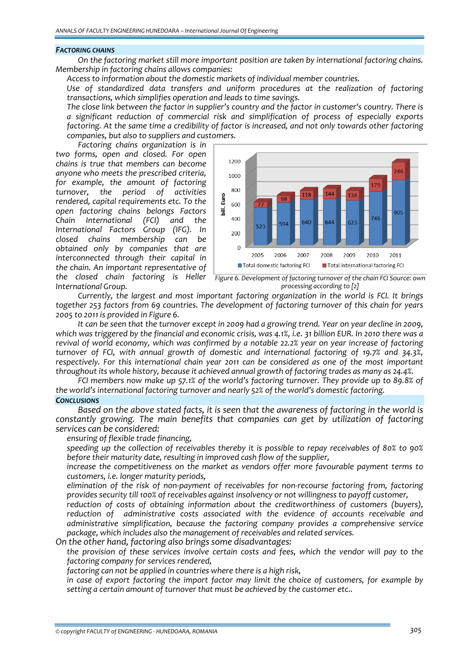#### *FACTORING CHAINS*

*On the factoring market still more important position are taken by international factoring chains. Membership in factoring chains allows companies:*

*Access to information about the domestic markets of individual member countries.*

 *Use of standardized data transfers and uniform procedures at the realization of factoring transactions, which simplifies operation and leads to time savings.* 

 *The close link between the factor in supplier's country and the factor in customer's country. There is a significant reduction of commercial risk and simplification of process of especially exports factoring. At the same time a credibility of factor is increased, and not only towards other factoring companies, but also to suppliers and customers.*

*Factoring chains organization is in two forms, open and closed. For open chains is true that members can become anyone who meets the prescribed criteria, for example, the amount of factoring turnover, the period of activities rendered, capital requirements etc. To the open factoring chains belongs Factors Chain International (FCI) and the International Factors Group (IFG). In closed chains membership can be obtained only by companies that are interconnected through their capital in the chain. An important representative of the closed chain factoring is Heller International Group.*



*Figure 6. Development of factoring turnover of the chain FCI Source: own processing according to [2]*

*Currently, the largest and most important factoring organization in the world is FCI. It brings together 253 factors from 69 countries. The development of factoring turnover of this chain for years 2005 to 2011 is provided in Figure 6.*

It can be seen that the turnover except in 2009 had a growing trend. Year on year decline in 2009, which was triggered by the financial and economic crisis, was 4.1%, i.e. 31 billion EUR. In 2010 there was a *revival of world economy, which was confirmed by a notable 22.2% year on year increase of factoring turnover of FCI, with annual growth of domestic and international factoring of 19.7% and 34.3%, respectively. For this international chain year 2011 can be considered as one of the most important throughout its whole history, because it achieved annual growth of factoring trades as many as 24.4%.* 

*FCI members now make up 57.1% of the world's factoring turnover. They provide up to 89.8% of the world's international factoring turnover and nearly 52% of the world's domestic factoring. CONCLUSIONS*

*Based on the above stated facts, it is seen that the awareness of factoring in the world is constantly growing. The main benefits that companies can get by utilization of factoring services can be considered:*

*ensuring of flexible trade financing,*

 *speeding up the collection of receivables thereby it is possible to repay receivables of 80% to 90% before their maturity date, resulting in improved cash flow of the supplier,*

 *increase the competitiveness on the market as vendors offer more favourable payment terms to customers, i.e. longer maturity periods,*

 *elimination of the risk of non‐payment of receivables for non‐recourse factoring from, factoring provides security till 100% of receivables against insolvency or not willingness to payoff customer,*

 *reduction of costs of obtaining information about the creditworthiness of customers (buyers), reduction of administrative costs associated with the evidence of accounts receivable and administrative simplification, because the factoring company provides a comprehensive service package, which includes also the management of receivables and related services.* 

*On the other hand, factoring also brings some disadvantages:*

 *the provision of these services involve certain costs and fees, which the vendor will pay to the factoring company for services rendered,*

*factoring can not be applied in countries where there is a high risk,*

 *in case of export factoring the import factor may limit the choice of customers, for example by setting a certain amount of turnover that must be achieved by the customer etc..*